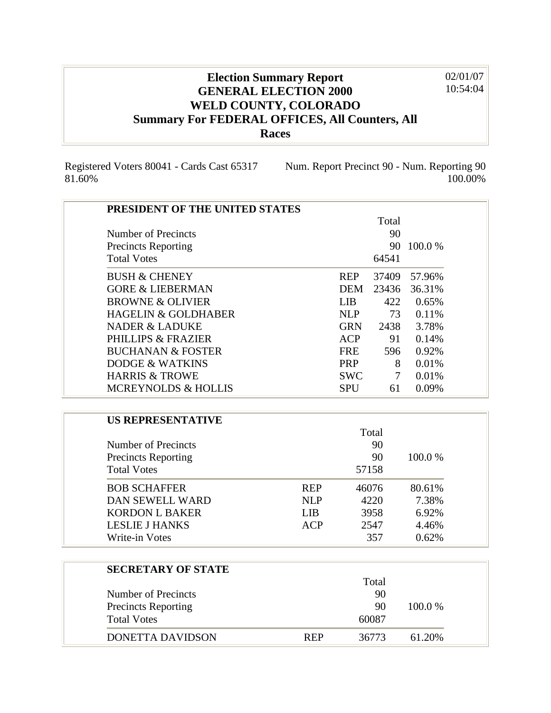## **Election Summary Report GENERAL ELECTION 2000 WELD COUNTY, COLORADO Summary For FEDERAL OFFICES, All Counters, All Races** 02/01/07 10:54:04

Registered Voters 80041 - Cards Cast 65317 81.60%

Num. Report Precinct 90 - Num. Reporting 90 100.00%

| PRESIDENT OF THE UNITED STATES |            |            |        |            |
|--------------------------------|------------|------------|--------|------------|
|                                |            |            | Total  |            |
| <b>Number of Precincts</b>     |            |            | 90     |            |
| <b>Precincts Reporting</b>     |            |            |        | 90 100.0 % |
| <b>Total Votes</b>             |            |            | 64541  |            |
| <b>BUSH &amp; CHENEY</b>       |            | <b>REP</b> | 37409  | 57.96%     |
| <b>GORE &amp; LIEBERMAN</b>    |            | <b>DEM</b> | 23436  | 36.31%     |
| <b>BROWNE &amp; OLIVIER</b>    |            | <b>LIB</b> | 422    | 0.65%      |
| <b>HAGELIN &amp; GOLDHABER</b> |            | <b>NLP</b> | 73     | 0.11%      |
| <b>NADER &amp; LADUKE</b>      |            | <b>GRN</b> | 2438   | 3.78%      |
| <b>PHILLIPS &amp; FRAZIER</b>  |            | <b>ACP</b> | 91     | 0.14%      |
| <b>BUCHANAN &amp; FOSTER</b>   |            | FRE        | 596    | 0.92%      |
| <b>DODGE &amp; WATKINS</b>     |            | PRP        | 8      | 0.01%      |
| <b>HARRIS &amp; TROWE</b>      |            | <b>SWC</b> | $\tau$ | 0.01%      |
| <b>MCREYNOLDS &amp; HOLLIS</b> |            | <b>SPU</b> | 61     | 0.09%      |
|                                |            |            |        |            |
| <b>US REPRESENTATIVE</b>       |            |            |        |            |
|                                |            |            | Total  |            |
| <b>Number of Precincts</b>     |            |            | 90     |            |
| <b>Precincts Reporting</b>     |            |            | 90     | 100.0%     |
| <b>Total Votes</b>             |            |            | 57158  |            |
| <b>BOB SCHAFFER</b>            | <b>REP</b> |            | 46076  | 80.61%     |
| DAN SEWELL WARD                | <b>NLP</b> |            | 4220   | 7.38%      |
| <b>KORDON L BAKER</b>          | <b>LIB</b> |            | 3958   | 6.92%      |
| <b>LESLIE J HANKS</b>          | <b>ACP</b> |            | 2547   | 4.46%      |
| <b>Write-in Votes</b>          |            |            | 357    | 0.62%      |
|                                |            |            |        |            |
| <b>SECRETARY OF STATE</b>      |            |            |        |            |
|                                |            |            | Total  |            |
| <b>Number of Precincts</b>     |            |            | 90     |            |
| <b>Precincts Reporting</b>     |            |            | 90     | 100.0%     |
| <b>Total Votes</b>             |            |            | 60087  |            |

DONETTA DAVIDSON REP 36773 61.20%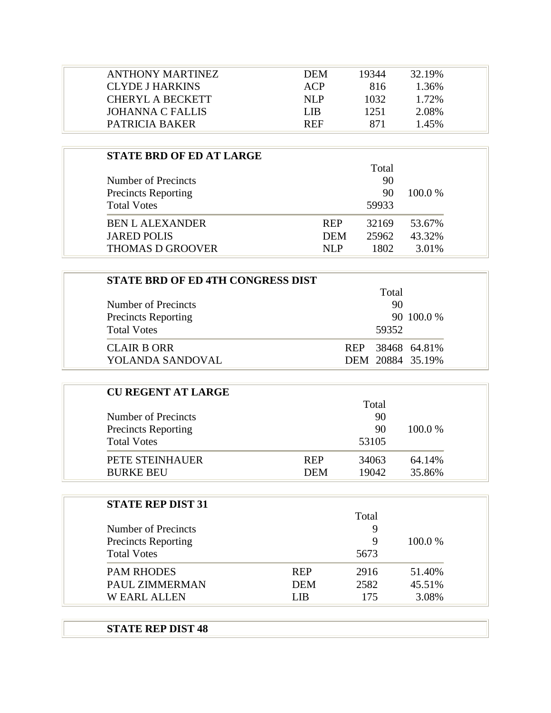| ANTHONY MARTINEZ        | <b>DEM</b> | 19344 | 32.19% |  |
|-------------------------|------------|-------|--------|--|
| CLYDE J HARKINS         | ACP        | 816   | 1.36%  |  |
| CHERYL A BECKETT        | NLP        | 1032. | 1.72%  |  |
| <b>JOHANNA C FALLIS</b> | LIB.       | 1251  | 2.08%  |  |
| PATRICIA BAKER          | <b>REF</b> | 871   | 1.45%  |  |

| <b>STATE BRD OF ED AT LARGE</b> |            |       |        |
|---------------------------------|------------|-------|--------|
|                                 |            | Total |        |
| Number of Precincts             |            | 90    |        |
| <b>Precincts Reporting</b>      |            | 90    | 100.0% |
| <b>Total Votes</b>              |            | 59933 |        |
| <b>BEN L ALEXANDER</b>          | <b>REP</b> | 32169 | 53.67% |
| <b>JARED POLIS</b>              | <b>DEM</b> | 25962 | 43.32% |
| <b>THOMAS D GROOVER</b>         | NLP        | 1802. | 3.01%  |

| STATE BRD OF ED 4TH CONGRESS DIST |                            |
|-----------------------------------|----------------------------|
|                                   | Total                      |
| Number of Precincts               | 90                         |
| <b>Precincts Reporting</b>        | 90 100.0 %                 |
| <b>Total Votes</b>                | 59352                      |
| <b>CLAIR B ORR</b>                | 38468 64.81%<br><b>REP</b> |
| YOLANDA SANDOVAL                  | DEM 20884 35.19%           |

| <b>CU REGENT AT LARGE</b>  |            |       |           |
|----------------------------|------------|-------|-----------|
|                            |            | Total |           |
| Number of Precincts        |            | 90    |           |
| <b>Precincts Reporting</b> |            | 90    | $100.0\%$ |
| <b>Total Votes</b>         |            | 53105 |           |
| PETE STEINHAUER            | <b>REP</b> | 34063 | 64.14%    |
| <b>BURKE BEU</b>           | <b>DEM</b> | 19042 | 35.86%    |

| <b>STATE REP DIST 31</b>   |            |       |         |
|----------------------------|------------|-------|---------|
|                            |            | Total |         |
| Number of Precincts        |            | 9     |         |
| <b>Precincts Reporting</b> |            | 9     | 100.0 % |
| <b>Total Votes</b>         |            | 5673  |         |
| <b>PAM RHODES</b>          | <b>REP</b> | 2916  | 51.40%  |
| PAUL ZIMMERMAN             | <b>DEM</b> | 2582  | 45.51%  |
| <b>WEARL ALLEN</b>         | LIB.       | 175   | 3.08%   |

## **STATE REP DIST 48**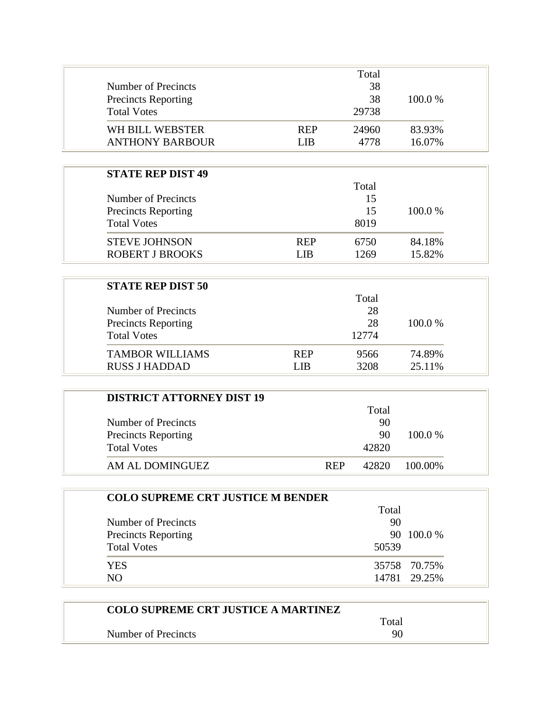| Number of Precincts<br><b>Precincts Reporting</b><br><b>Total Votes</b> |                    | Total<br>38<br>38<br>29738 | 100.0 %          |
|-------------------------------------------------------------------------|--------------------|----------------------------|------------------|
| WH BILL WEBSTER<br><b>ANTHONY BARBOUR</b>                               | <b>REP</b><br>LIB. | 24960<br>4778              | 83.93%<br>16.07% |
| <b>STATE REP DIST 49</b>                                                |                    | Total                      |                  |

|                            |            | i viai |         |
|----------------------------|------------|--------|---------|
| Number of Precincts        |            | 15     |         |
| <b>Precincts Reporting</b> |            | 15     | 100.0 % |
| <b>Total Votes</b>         |            | 8019   |         |
| <b>STEVE JOHNSON</b>       | <b>REP</b> | 6750   | 84.18%  |
| <b>ROBERT J BROOKS</b>     | LIB.       | 1269   | 15.82%  |
|                            |            |        |         |

| <b>STATE REP DIST 50</b>   |            |       |           |
|----------------------------|------------|-------|-----------|
|                            |            | Total |           |
| Number of Precincts        |            | 28    |           |
| <b>Precincts Reporting</b> |            | 28    | $100.0\%$ |
| <b>Total Votes</b>         |            | 12774 |           |
| <b>TAMBOR WILLIAMS</b>     | <b>REP</b> | 9566  | 74.89%    |
| <b>RUSS J HADDAD</b>       | I IR       | 3208  | 25.11%    |

| <b>DISTRICT ATTORNEY DIST 19</b> |            |       |         |
|----------------------------------|------------|-------|---------|
|                                  |            | Total |         |
| Number of Precincts              |            | 90    |         |
| <b>Precincts Reporting</b>       |            | 90    | 100.0 % |
| <b>Total Votes</b>               |            | 42820 |         |
| AM AL DOMINGUEZ                  | <b>REP</b> | 42820 | 100.00% |

| <b>COLO SUPREME CRT JUSTICE M BENDER</b> |       |              |
|------------------------------------------|-------|--------------|
|                                          | Total |              |
| Number of Precincts                      | 90    |              |
| <b>Precincts Reporting</b>               |       | 90 100.0 %   |
| <b>Total Votes</b>                       | 50539 |              |
| YES                                      |       | 35758 70.75% |
| NO.                                      |       | 14781 29.25% |

| <b>COLO SUPREME CRT JUSTICE A MARTINEZ</b> |       |  |
|--------------------------------------------|-------|--|
|                                            | Total |  |
| Number of Precincts                        | 90    |  |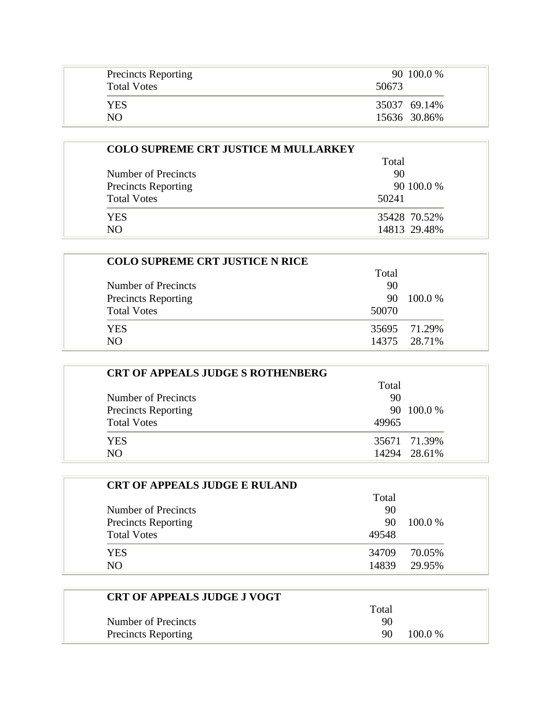| <b>Precincts Reporting</b> | 90 100.0 %   |
|----------------------------|--------------|
| <b>Total Votes</b>         | 50673        |
| YES                        | 35037 69.14% |
| NO.                        | 15636 30.86% |

|                            | Total        |  |
|----------------------------|--------------|--|
| Number of Precincts        | 90           |  |
| <b>Precincts Reporting</b> | 90 100.0 %   |  |
| <b>Total Votes</b>         | 50241        |  |
| <b>YES</b>                 | 35428 70.52% |  |
| N()                        | 14813 29.48% |  |

| <b>COLO SUPREME CRT JUSTICE N RICE</b> |       |              |
|----------------------------------------|-------|--------------|
|                                        | Total |              |
| Number of Precincts                    | 90    |              |
| <b>Precincts Reporting</b>             | 90    | 100.0 %      |
| <b>Total Votes</b>                     | 50070 |              |
| <b>YES</b>                             |       | 35695 71.29% |
| NΩ                                     |       | 14375 28.71% |

| <b>CRT OF APPEALS JUDGE S ROTHENBERG</b> |       |              |
|------------------------------------------|-------|--------------|
|                                          | Total |              |
| Number of Precincts                      | 90    |              |
| <b>Precincts Reporting</b>               |       | 90 100.0 %   |
| <b>Total Votes</b>                       | 49965 |              |
| <b>YES</b>                               |       | 35671 71.39% |
| N()                                      |       | 14294 28.61% |

| <b>CRT OF APPEALS JUDGE E RULAND</b> |       |         |
|--------------------------------------|-------|---------|
|                                      | Total |         |
| Number of Precincts                  | 90    |         |
| <b>Precincts Reporting</b>           | 90    | 100.0 % |
| <b>Total Votes</b>                   | 49548 |         |
| <b>YES</b>                           | 34709 | 70.05%  |
| NO.                                  | 14839 | 29.95%  |

| <b>CRT OF APPEALS JUDGE J VOGT</b> |       |           |
|------------------------------------|-------|-----------|
|                                    | Total |           |
| Number of Precincts                | 90    |           |
| <b>Precincts Reporting</b>         | 90    | $100.0\%$ |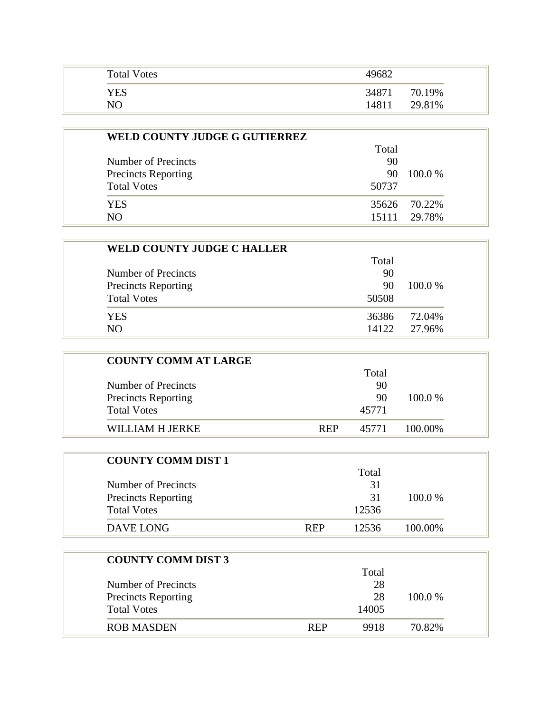| <b>Total Votes</b> | 49682           |
|--------------------|-----------------|
| YES                | 34871<br>70.19% |
| NO                 | 29.81%<br>14811 |

| WELD COUNTY JUDGE G GUTIERREZ |       |              |
|-------------------------------|-------|--------------|
|                               | Total |              |
| Number of Precincts           | 90    |              |
| <b>Precincts Reporting</b>    | 90    | $100.0\%$    |
| <b>Total Votes</b>            | 50737 |              |
| <b>YES</b>                    |       | 35626 70.22% |
| NO.                           | 15111 | 29.78%       |

| <b>WELD COUNTY JUDGE C HALLER</b> |       |         |
|-----------------------------------|-------|---------|
|                                   | Total |         |
| Number of Precincts               | 90    |         |
| <b>Precincts Reporting</b>        | 90    | 100.0 % |
| <b>Total Votes</b>                | 50508 |         |
| YES                               | 36386 | 72.04%  |
| NO <sub>1</sub>                   | 14122 | 27.96%  |

| <b>COUNTY COMM AT LARGE</b> |            |       |         |
|-----------------------------|------------|-------|---------|
|                             |            | Total |         |
| Number of Precincts         |            | 90    |         |
| <b>Precincts Reporting</b>  |            | 90    | 100.0 % |
| <b>Total Votes</b>          |            | 45771 |         |
| WILLIAM H JERKE             | <b>REP</b> | 45771 | 100.00% |

| <b>COUNTY COMM DIST 1</b>  |            |       |           |
|----------------------------|------------|-------|-----------|
|                            |            | Total |           |
| Number of Precincts        |            | 31    |           |
| <b>Precincts Reporting</b> |            | 31    | $100.0\%$ |
| <b>Total Votes</b>         |            | 12536 |           |
| DAVE LONG                  | <b>REP</b> | 12536 | 100.00%   |

| <b>COUNTY COMM DIST 3</b>  |            |       |         |
|----------------------------|------------|-------|---------|
|                            |            | Total |         |
| Number of Precincts        |            | 28    |         |
| <b>Precincts Reporting</b> |            | 28    | 100.0 % |
| <b>Total Votes</b>         |            | 14005 |         |
| ROB MASDEN                 | <b>REP</b> | 9918  | 70.82%  |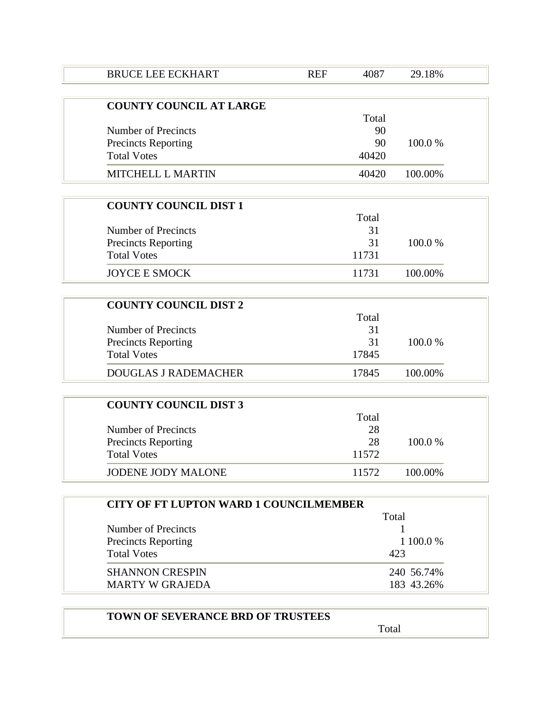| 4087  | 29.18%                                                 |
|-------|--------------------------------------------------------|
|       |                                                        |
| Total |                                                        |
| 90    |                                                        |
| 90    | 100.0%                                                 |
| 40420 |                                                        |
| 40420 | 100.00%                                                |
|       |                                                        |
| Total |                                                        |
| 31    |                                                        |
| 31    | 100.0%                                                 |
| 11731 |                                                        |
| 11731 | 100.00%                                                |
|       |                                                        |
| Total |                                                        |
| 31    |                                                        |
| 31    | 100.0%                                                 |
| 17845 |                                                        |
| 17845 | 100.00%                                                |
|       |                                                        |
| Total |                                                        |
| 28    |                                                        |
| 28    | 100.0%                                                 |
| 11572 |                                                        |
| 11572 | 100.00%                                                |
|       |                                                        |
|       | <b>CITY OF FT LUPTON WARD 1 COUNCILMEMBER</b><br>Total |

|                            | Total      |
|----------------------------|------------|
| Number of Precincts        |            |
| <b>Precincts Reporting</b> | 1 100.0 %  |
| <b>Total Votes</b>         | 423        |
| <b>SHANNON CRESPIN</b>     | 240 56.74% |
| <b>MARTY W GRAJEDA</b>     | 183 43.26% |

| <b>TOWN OF SEVERANCE BRD OF TRUSTEES</b> |  |
|------------------------------------------|--|
|                                          |  |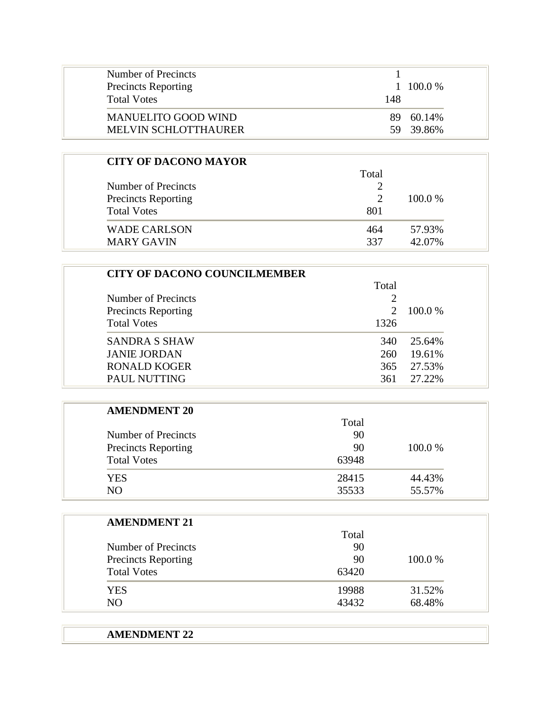| Number of Precincts<br><b>Precincts Reporting</b><br><b>Total Votes</b> | 148 | $1 \quad 100.0\%$ |
|-------------------------------------------------------------------------|-----|-------------------|
| <b>MANUELITO GOOD WIND</b>                                              | 89. | 60.14%            |
| MELVIN SCHLOTTHAURER                                                    |     | 59 39.86%         |

| <b>CITY OF DACONO MAYOR</b> |       |         |
|-----------------------------|-------|---------|
|                             | Total |         |
| Number of Precincts         |       |         |
| <b>Precincts Reporting</b>  |       | 100.0 % |
| <b>Total Votes</b>          | 801   |         |
| <b>WADE CARLSON</b>         | 464   | 57.93%  |
| <b>MARY GAVIN</b>           | 337   | 42.07%  |

| <b>CITY OF DACONO COUNCILMEMBER</b> |                             |         |
|-------------------------------------|-----------------------------|---------|
| Total                               |                             |         |
| Number of Precincts                 | 2                           |         |
| <b>Precincts Reporting</b>          | $\mathcal{D}_{\mathcal{L}}$ | 100.0 % |
| <b>Total Votes</b>                  | 1326                        |         |
| <b>SANDRA S SHAW</b>                | 340                         | 25.64%  |
| <b>JANIE JORDAN</b>                 | 260                         | 19.61%  |
| <b>RONALD KOGER</b>                 | 365                         | 27.53%  |
| <b>PAUL NUTTING</b>                 | 361                         | 27.22%  |

| <b>AMENDMENT 20</b>        |       |         |
|----------------------------|-------|---------|
|                            | Total |         |
| Number of Precincts        | 90    |         |
| <b>Precincts Reporting</b> | 90    | 100.0 % |
| <b>Total Votes</b>         | 63948 |         |
| <b>YES</b>                 | 28415 | 44.43%  |
| NO.                        | 35533 | 55.57%  |

| <b>AMENDMENT 21</b>        |       |         |
|----------------------------|-------|---------|
|                            | Total |         |
| Number of Precincts        | 90    |         |
| <b>Precincts Reporting</b> | 90    | 100.0 % |
| <b>Total Votes</b>         | 63420 |         |
| <b>YES</b>                 | 19988 | 31.52%  |
| NO.                        | 43432 | 68.48%  |

| <b>AMENDMENT 22</b> |  |  |
|---------------------|--|--|
|---------------------|--|--|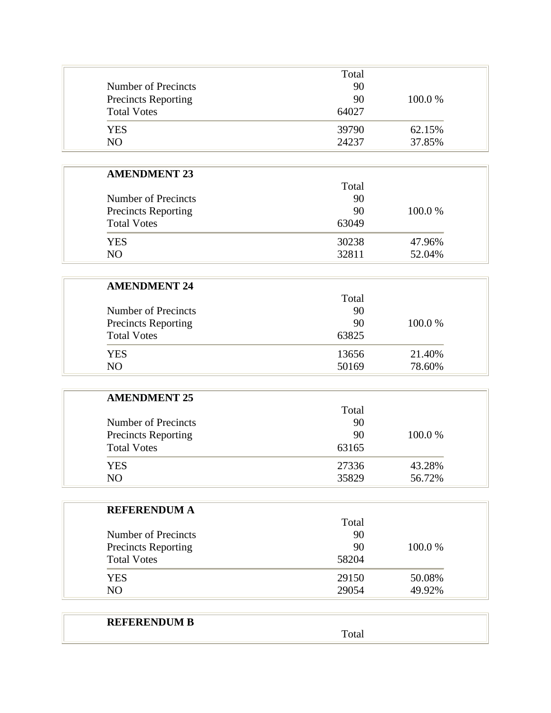|                            | Total |         |
|----------------------------|-------|---------|
| Number of Precincts        | 90    |         |
| <b>Precincts Reporting</b> | 90    | 100.0 % |
| <b>Total Votes</b>         | 64027 |         |
| <b>YES</b>                 | 39790 | 62.15%  |
| NO                         | 24237 | 37.85%  |

| Total<br>90 |         |
|-------------|---------|
|             |         |
|             |         |
| 90          | 100.0 % |
| 63049       |         |
| 30238       | 47.96%  |
| 32811       | 52.04%  |
|             |         |

| Total |         |
|-------|---------|
| 90    |         |
| 90    | 100.0 % |
| 63825 |         |
| 13656 | 21.40%  |
| 50169 | 78.60%  |
|       |         |

| <b>AMENDMENT 25</b>        |       |         |
|----------------------------|-------|---------|
|                            | Total |         |
| Number of Precincts        | 90    |         |
| <b>Precincts Reporting</b> | 90    | 100.0 % |
| <b>Total Votes</b>         | 63165 |         |
| <b>YES</b>                 | 27336 | 43.28%  |
| N <sub>O</sub>             | 35829 | 56.72%  |

| <b>REFERENDUM A</b>        |       |         |
|----------------------------|-------|---------|
|                            | Total |         |
| <b>Number of Precincts</b> | 90    |         |
| <b>Precincts Reporting</b> | 90    | 100.0 % |
| <b>Total Votes</b>         | 58204 |         |
| <b>YES</b>                 | 29150 | 50.08%  |
| N <sub>O</sub>             | 29054 | 49.92%  |

## **REFERENDUM B**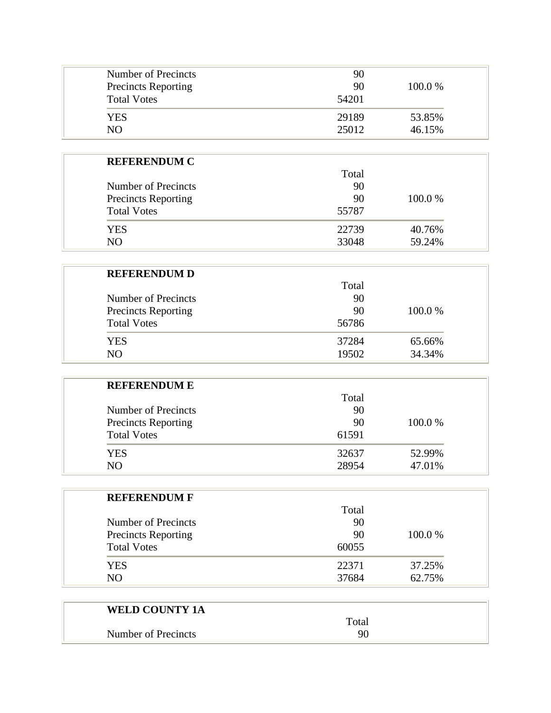| Number of Precincts<br><b>Precincts Reporting</b><br><b>Total Votes</b> | 90<br>90<br>54201 | 100.0 % |
|-------------------------------------------------------------------------|-------------------|---------|
| <b>YES</b>                                                              | 29189             | 53.85%  |
| NΟ                                                                      | 25012             | 46.15%  |

| <b>REFERENDUM C</b>        |       |         |
|----------------------------|-------|---------|
|                            | Total |         |
| Number of Precincts        | 90    |         |
| <b>Precincts Reporting</b> | 90    | 100.0 % |
| <b>Total Votes</b>         | 55787 |         |
| <b>YES</b>                 | 22739 | 40.76%  |
| N()                        | 33048 | 59.24%  |

| <b>REFERENDUM D</b>        |       |         |
|----------------------------|-------|---------|
|                            | Total |         |
| Number of Precincts        | 90    |         |
| <b>Precincts Reporting</b> | 90    | 100.0 % |
| <b>Total Votes</b>         | 56786 |         |
| <b>YES</b>                 | 37284 | 65.66%  |
| NO.                        | 19502 | 34.34%  |

| <b>REFERENDUM E</b>        |       |         |
|----------------------------|-------|---------|
|                            | Total |         |
| Number of Precincts        | 90    |         |
| <b>Precincts Reporting</b> | 90    | 100.0 % |
| <b>Total Votes</b>         | 61591 |         |
| YES.                       | 32637 | 52.99%  |
| N <sub>O</sub>             | 28954 | 47.01%  |

| <b>REFERENDUM F</b>        |       |         |
|----------------------------|-------|---------|
|                            | Total |         |
| Number of Precincts        | 90    |         |
| <b>Precincts Reporting</b> | 90    | 100.0 % |
| <b>Total Votes</b>         | 60055 |         |
| <b>YES</b>                 | 22371 | 37.25%  |
| NO <sub>1</sub>            | 37684 | 62.75%  |

| <b>WELD COUNTY 1A</b> |       |  |
|-----------------------|-------|--|
|                       | Total |  |
| Number of Precincts   | 90    |  |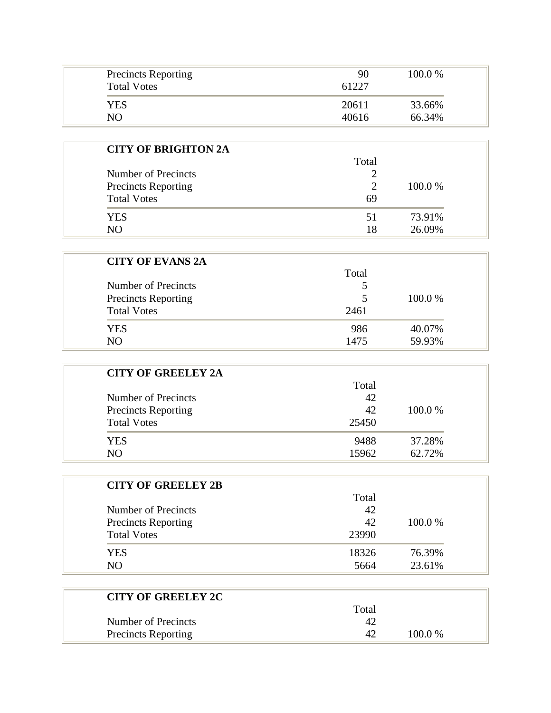| <b>Precincts Reporting</b><br><b>Total Votes</b> | 90<br>61227 | 100.0% |
|--------------------------------------------------|-------------|--------|
| YES                                              | 20611       | 33.66% |
| NΟ                                               | 40616       | 66.34% |

| <b>CITY OF BRIGHTON 2A</b> | Total          |         |
|----------------------------|----------------|---------|
| Number of Precincts        |                |         |
| <b>Precincts Reporting</b> | $\overline{c}$ | 100.0 % |
| <b>Total Votes</b>         | 69             |         |
| YES                        | 51             | 73.91%  |
| NO                         | 18             | 26.09%  |

| <b>CITY OF EVANS 2A</b>    |       |         |
|----------------------------|-------|---------|
|                            | Total |         |
| Number of Precincts        |       |         |
| <b>Precincts Reporting</b> | 5     | 100.0 % |
| <b>Total Votes</b>         | 2461  |         |
| <b>YES</b>                 | 986   | 40.07%  |
| N <sub>O</sub>             | 1475  | 59.93%  |

| <b>CITY OF GREELEY 2A</b>  |       |         |
|----------------------------|-------|---------|
|                            | Total |         |
| Number of Precincts        | 42    |         |
| <b>Precincts Reporting</b> | 42    | 100.0 % |
| <b>Total Votes</b>         | 25450 |         |
| <b>YES</b>                 | 9488  | 37.28%  |
| NO.                        | 15962 | 62.72%  |

| <b>CITY OF GREELEY 2B</b>  |       |         |
|----------------------------|-------|---------|
|                            | Total |         |
| Number of Precincts        | 42    |         |
| <b>Precincts Reporting</b> | 42    | 100.0 % |
| <b>Total Votes</b>         | 23990 |         |
| <b>YES</b>                 | 18326 | 76.39%  |
| NO.                        | 5664  | 23.61%  |

| <b>CITY OF GREELEY 2C</b>  |       |        |
|----------------------------|-------|--------|
|                            | Total |        |
| Number of Precincts        |       |        |
| <b>Precincts Reporting</b> |       | 100.0% |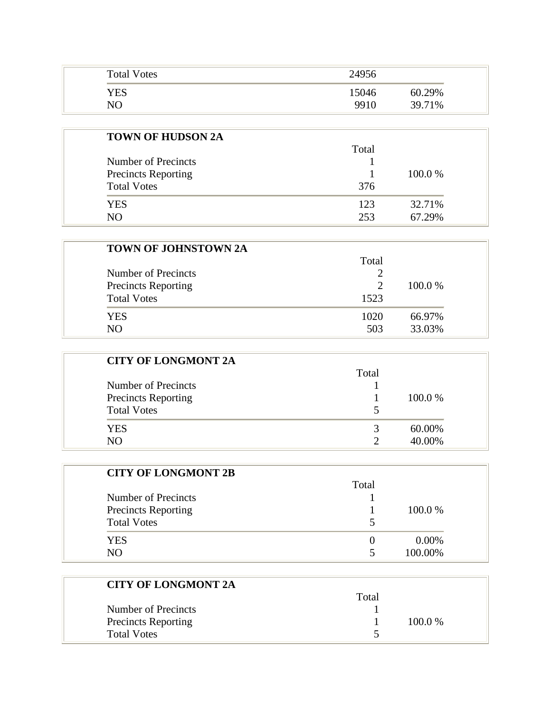| <b>Total Votes</b> | 24956           |
|--------------------|-----------------|
| YES                | 60.29%<br>15046 |
| NO                 | 9910<br>39.71%  |

| <b>TOWN OF HUDSON 2A</b>   |       |         |
|----------------------------|-------|---------|
|                            | Total |         |
| Number of Precincts        |       |         |
| <b>Precincts Reporting</b> |       | 100.0 % |
| <b>Total Votes</b>         | 376   |         |
| <b>YES</b>                 | 123   | 32.71%  |
| N <sub>O</sub>             | 253   | 67.29%  |

| <b>TOWN OF JOHNSTOWN 2A</b> |       |         |
|-----------------------------|-------|---------|
|                             | Total |         |
| Number of Precincts         |       |         |
| <b>Precincts Reporting</b>  |       | 100.0 % |
| <b>Total Votes</b>          | 1523  |         |
| <b>YES</b>                  | 1020  | 66.97%  |
| NO.                         | 503   | 33.03%  |

| <b>CITY OF LONGMONT 2A</b> |       |         |
|----------------------------|-------|---------|
|                            | Total |         |
| Number of Precincts        |       |         |
| <b>Precincts Reporting</b> |       | 100.0 % |
| <b>Total Votes</b>         | 5     |         |
| YES                        | 2     | 60.00%  |
| N <sub>O</sub>             |       | 40.00%  |

| <b>CITY OF LONGMONT 2B</b> |       |          |
|----------------------------|-------|----------|
|                            | Total |          |
| Number of Precincts        |       |          |
| <b>Precincts Reporting</b> |       | 100.0 %  |
| <b>Total Votes</b>         |       |          |
| <b>YES</b>                 |       | $0.00\%$ |
| NΩ                         |       | 100.00%  |

| <b>CITY OF LONGMONT 2A</b> |       |           |
|----------------------------|-------|-----------|
|                            | Total |           |
| Number of Precincts        |       |           |
| <b>Precincts Reporting</b> |       | $100.0\%$ |
| <b>Total Votes</b>         |       |           |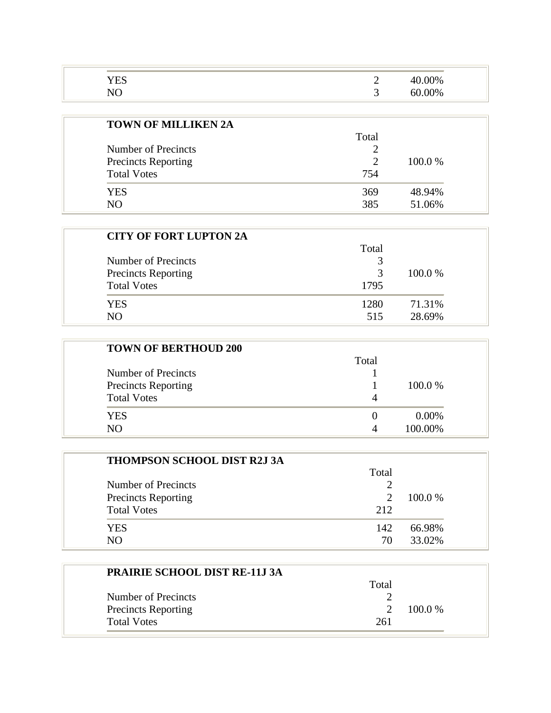| $W_{f}$ |
|---------|
|         |

| <b>TOWN OF MILLIKEN 2A</b> |       |         |  |
|----------------------------|-------|---------|--|
|                            | Total |         |  |
| Number of Precincts        |       |         |  |
| <b>Precincts Reporting</b> | 2     | 100.0 % |  |
| <b>Total Votes</b>         | 754   |         |  |
| <b>YES</b>                 | 369   | 48.94%  |  |
| N <sub>O</sub>             | 385   | 51.06%  |  |

| <b>CITY OF FORT LUPTON 2A</b> |       |         |
|-------------------------------|-------|---------|
|                               | Total |         |
| Number of Precincts           |       |         |
| <b>Precincts Reporting</b>    | 3     | 100.0 % |
| <b>Total Votes</b>            | 1795  |         |
| YES.                          | 1280  | 71.31%  |
| NΟ                            | 515   | 28.69%  |

| <b>TOWN OF BERTHOUD 200</b> |       |          |
|-----------------------------|-------|----------|
|                             | Total |          |
| Number of Precincts         |       |          |
| <b>Precincts Reporting</b>  |       | 100.0 %  |
| <b>Total Votes</b>          | 4     |          |
| <b>YES</b>                  | 0     | $0.00\%$ |
| N <sub>O</sub>              | Δ     | 100.00%  |

| <b>THOMPSON SCHOOL DIST R2J 3A</b> |       |         |
|------------------------------------|-------|---------|
|                                    | Total |         |
| Number of Precincts                |       |         |
| <b>Precincts Reporting</b>         |       | 100.0 % |
| <b>Total Votes</b>                 | 212   |         |
| YES                                | 142   | 66.98%  |
| NΟ                                 | 70    | 33.02%  |

| <b>PRAIRIE SCHOOL DIST RE-11J 3A</b> |       |           |
|--------------------------------------|-------|-----------|
|                                      | Total |           |
| Number of Precincts                  |       |           |
| <b>Precincts Reporting</b>           |       | $100.0\%$ |
| <b>Total Votes</b>                   | 261   |           |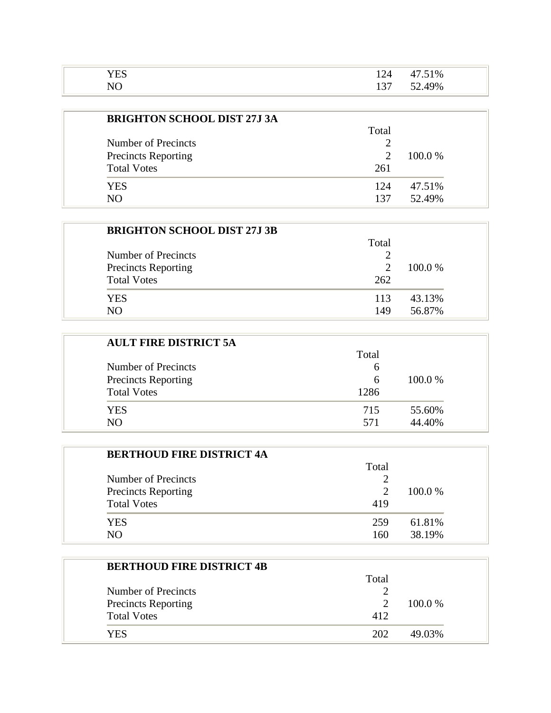| $  -$  | $\sim$            | 51% |
|--------|-------------------|-----|
| $\tau$ | $\Omega$<br>1 J J | 49% |

| <b>BRIGHTON SCHOOL DIST 27J 3A</b> |                             |         |
|------------------------------------|-----------------------------|---------|
|                                    | Total                       |         |
| Number of Precincts                |                             |         |
| <b>Precincts Reporting</b>         | $\mathcal{D}_{\mathcal{L}}$ | 100.0 % |
| <b>Total Votes</b>                 | 261                         |         |
| YES                                | 124                         | 47.51%  |
| NΩ                                 | 137                         | 52.49%  |

| <b>BRIGHTON SCHOOL DIST 27J 3B</b> |       |         |
|------------------------------------|-------|---------|
|                                    | Total |         |
| Number of Precincts                |       |         |
| <b>Precincts Reporting</b>         |       | 100.0 % |
| <b>Total Votes</b>                 | 262   |         |
| YES.                               | 113   | 43.13%  |
| NΟ                                 | 149   | 56.87%  |

| <b>AULT FIRE DISTRICT 5A</b> |       |         |
|------------------------------|-------|---------|
|                              | Total |         |
| Number of Precincts          | 6     |         |
| <b>Precincts Reporting</b>   | 6     | 100.0 % |
| <b>Total Votes</b>           | 1286  |         |
| YES                          | 715   | 55.60%  |
| NΟ                           | 571   | 44.40%  |

| <b>BERTHOUD FIRE DISTRICT 4A</b> |                       |         |
|----------------------------------|-----------------------|---------|
|                                  | Total                 |         |
| Number of Precincts              |                       |         |
| <b>Precincts Reporting</b>       | $\mathcal{D}_{\cdot}$ | 100.0 % |
| <b>Total Votes</b>               | 419                   |         |
| YES.                             | 259                   | 61.81%  |
| NΩ                               | 160                   | 38.19%  |

| <b>BERTHOUD FIRE DISTRICT 4B</b> |       |         |  |
|----------------------------------|-------|---------|--|
|                                  | Total |         |  |
| Number of Precincts              |       |         |  |
| <b>Precincts Reporting</b>       |       | 100.0 % |  |
| <b>Total Votes</b>               | 412   |         |  |
| YES                              | 202   | 49.03%  |  |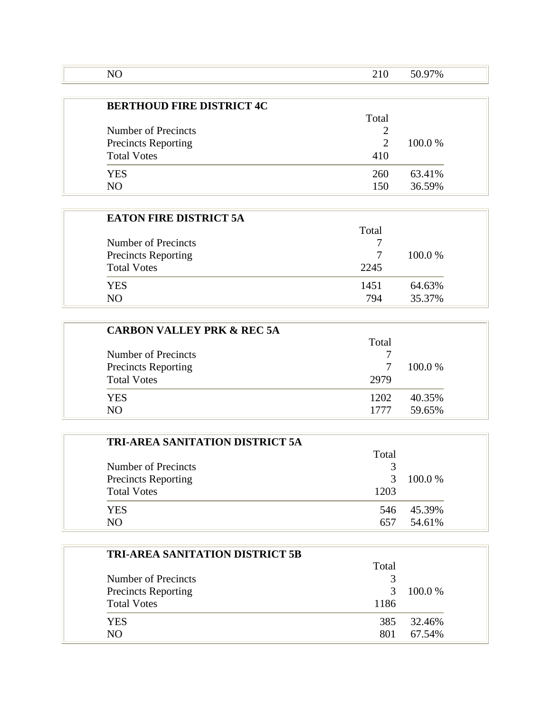| ' U. |  |
|------|--|

| <b>BERTHOUD FIRE DISTRICT 4C</b> |                             |         |
|----------------------------------|-----------------------------|---------|
|                                  | Total                       |         |
| Number of Precincts              |                             |         |
| <b>Precincts Reporting</b>       | $\mathcal{D}_{\mathcal{L}}$ | 100.0 % |
| <b>Total Votes</b>               | 410                         |         |
| YES                              | 260                         | 63.41%  |
| NΩ                               | 150                         | 36.59%  |

| <b>EATON FIRE DISTRICT 5A</b> |       |         |
|-------------------------------|-------|---------|
|                               | Total |         |
| Number of Precincts           |       |         |
| <b>Precincts Reporting</b>    |       | 100.0 % |
| <b>Total Votes</b>            | 2245  |         |
| <b>YES</b>                    | 1451  | 64.63%  |
| N()                           | 794   | 35.37%  |

| <b>CARBON VALLEY PRK &amp; REC 5A</b> |       |         |
|---------------------------------------|-------|---------|
|                                       | Total |         |
| Number of Precincts                   |       |         |
| <b>Precincts Reporting</b>            |       | 100.0 % |
| <b>Total Votes</b>                    | 2979  |         |
| YES                                   | 1202  | 40.35%  |
| NΩ                                    | 1777  | 59.65%  |

| <b>TRI-AREA SANITATION DISTRICT 5A</b> |       |         |
|----------------------------------------|-------|---------|
|                                        | Total |         |
| Number of Precincts                    | 3     |         |
| <b>Precincts Reporting</b>             | 3     | 100.0 % |
| <b>Total Votes</b>                     | 1203  |         |
| <b>YES</b>                             | 546   | 45.39%  |
| N()                                    | 657   | 54.61%  |

| <b>TRI-AREA SANITATION DISTRICT 5B</b> |       |        |
|----------------------------------------|-------|--------|
|                                        | Total |        |
| Number of Precincts                    |       |        |
| <b>Precincts Reporting</b>             | 3     | 100.0% |
| <b>Total Votes</b>                     | 1186  |        |
| <b>YES</b>                             | 385   | 32.46% |
| NO                                     | 801   | 67.54% |